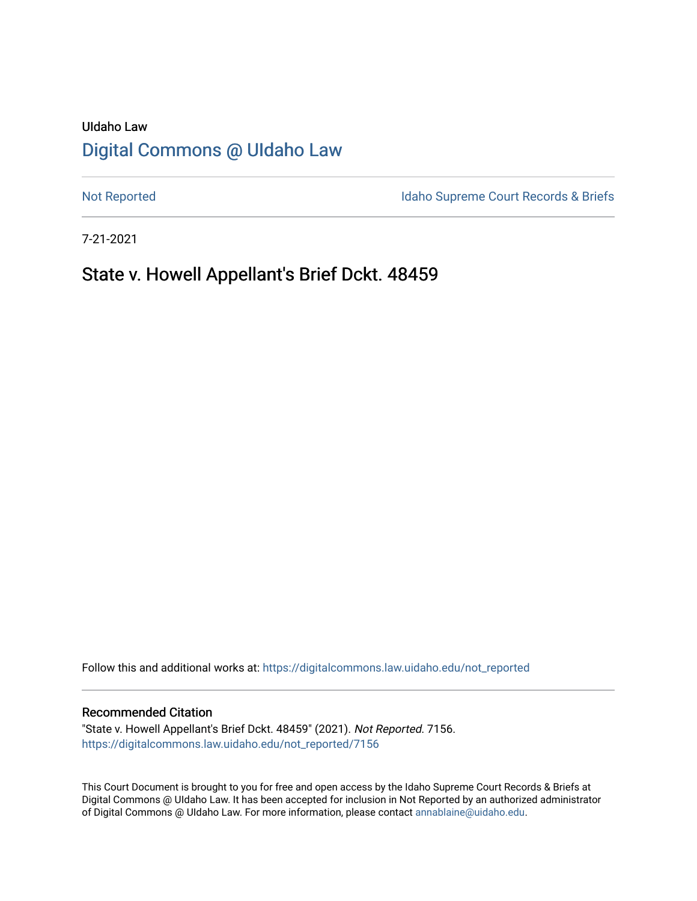# UIdaho Law [Digital Commons @ UIdaho Law](https://digitalcommons.law.uidaho.edu/)

[Not Reported](https://digitalcommons.law.uidaho.edu/not_reported) **Idaho Supreme Court Records & Briefs** 

7-21-2021

# State v. Howell Appellant's Brief Dckt. 48459

Follow this and additional works at: [https://digitalcommons.law.uidaho.edu/not\\_reported](https://digitalcommons.law.uidaho.edu/not_reported?utm_source=digitalcommons.law.uidaho.edu%2Fnot_reported%2F7156&utm_medium=PDF&utm_campaign=PDFCoverPages) 

#### Recommended Citation

"State v. Howell Appellant's Brief Dckt. 48459" (2021). Not Reported. 7156. [https://digitalcommons.law.uidaho.edu/not\\_reported/7156](https://digitalcommons.law.uidaho.edu/not_reported/7156?utm_source=digitalcommons.law.uidaho.edu%2Fnot_reported%2F7156&utm_medium=PDF&utm_campaign=PDFCoverPages)

This Court Document is brought to you for free and open access by the Idaho Supreme Court Records & Briefs at Digital Commons @ UIdaho Law. It has been accepted for inclusion in Not Reported by an authorized administrator of Digital Commons @ UIdaho Law. For more information, please contact [annablaine@uidaho.edu](mailto:annablaine@uidaho.edu).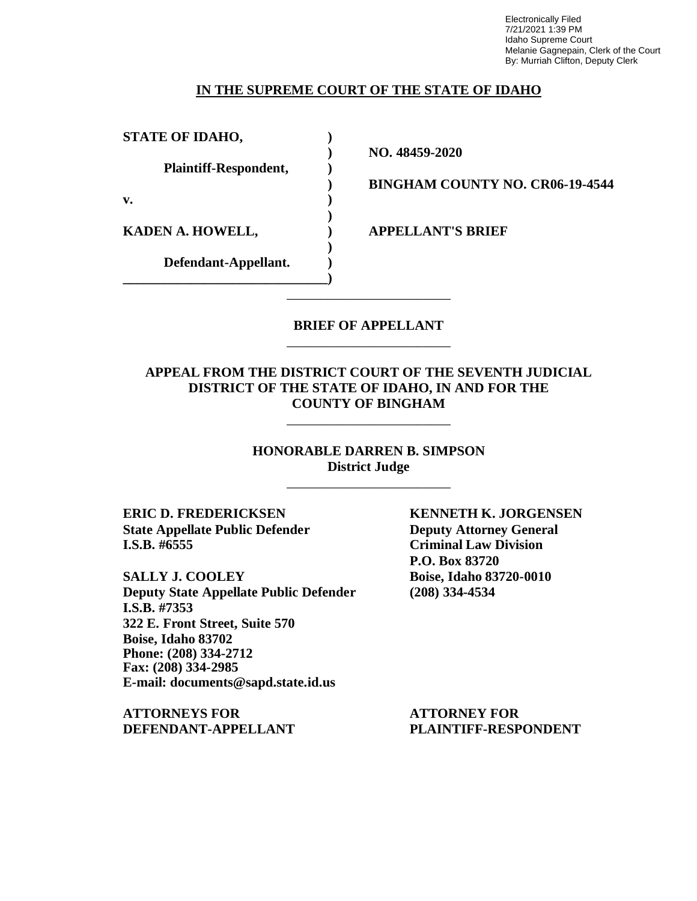Electronically Filed 7/21/2021 1:39 PM Idaho Supreme Court Melanie Gagnepain, Clerk of the Court By: Murriah Clifton, Deputy Clerk

### **IN THE SUPREME COURT OF THE STATE OF IDAHO**

**STATE OF IDAHO, )**

**Plaintiff-Respondent, )**

**v. )**

**KADEN A. HOWELL, ) APPELLANT'S BRIEF**

**Defendant-Appellant. ) \_\_\_\_\_\_\_\_\_\_\_\_\_\_\_\_\_\_\_\_\_\_\_\_\_\_\_\_\_\_)**

**) NO. 48459-2020**

**) BINGHAM COUNTY NO. CR06-19-4544**

## **BRIEF OF APPELLANT** \_\_\_\_\_\_\_\_\_\_\_\_\_\_\_\_\_\_\_\_\_\_\_\_

\_\_\_\_\_\_\_\_\_\_\_\_\_\_\_\_\_\_\_\_\_\_\_\_

**)**

**)**

## **APPEAL FROM THE DISTRICT COURT OF THE SEVENTH JUDICIAL DISTRICT OF THE STATE OF IDAHO, IN AND FOR THE COUNTY OF BINGHAM**

\_\_\_\_\_\_\_\_\_\_\_\_\_\_\_\_\_\_\_\_\_\_\_\_

**HONORABLE DARREN B. SIMPSON District Judge**

\_\_\_\_\_\_\_\_\_\_\_\_\_\_\_\_\_\_\_\_\_\_\_\_

**ERIC D. FREDERICKSEN KENNETH K. JORGENSEN State Appellate Public Defender Deputy Attorney General I.S.B. #6555 Criminal Law Division**

**SALLY J. COOLEY Boise, Idaho 83720-0010 Deputy State Appellate Public Defender (208) 334-4534 I.S.B. #7353 322 E. Front Street, Suite 570 Boise, Idaho 83702 Phone: (208) 334-2712 Fax: (208) 334-2985 E-mail: documents@sapd.state.id.us**

**ATTORNEYS FOR ATTORNEY FOR DEFENDANT-APPELLANT PLAINTIFF-RESPONDENT**

**P.O. Box 83720**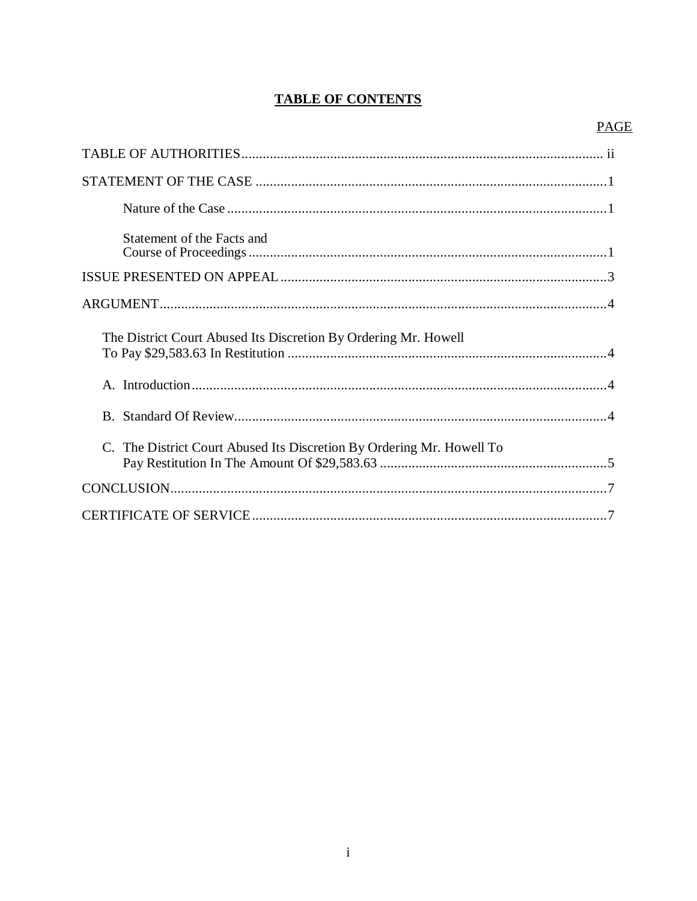# **TABLE OF CONTENTS**

# **PAGE**

| Statement of the Facts and                                            |
|-----------------------------------------------------------------------|
|                                                                       |
|                                                                       |
| The District Court Abused Its Discretion By Ordering Mr. Howell       |
|                                                                       |
|                                                                       |
| C. The District Court Abused Its Discretion By Ordering Mr. Howell To |
|                                                                       |
|                                                                       |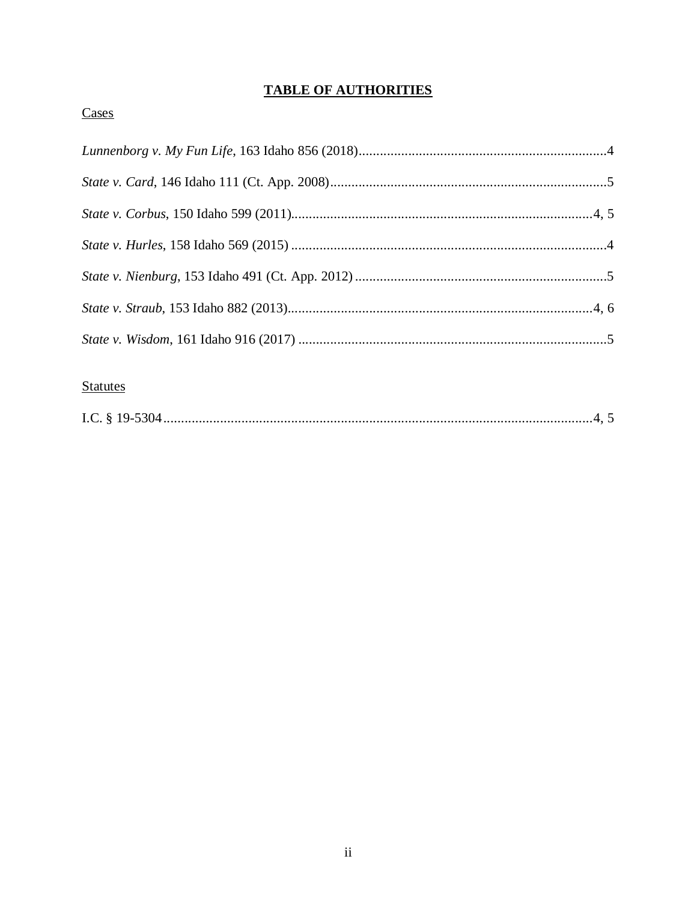# **TABLE OF AUTHORITIES**

# Cases

# **Statutes**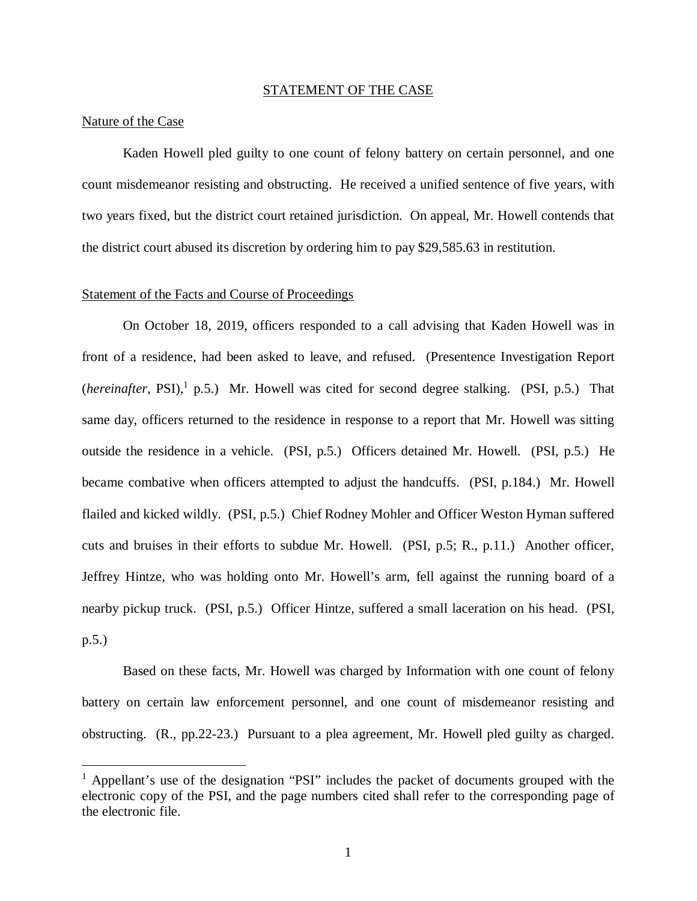#### STATEMENT OF THE CASE

#### Nature of the Case

Kaden Howell pled guilty to one count of felony battery on certain personnel, and one count misdemeanor resisting and obstructing. He received a unified sentence of five years, with two years fixed, but the district court retained jurisdiction. On appeal, Mr. Howell contends that the district court abused its discretion by ordering him to pay \$29,585.63 in restitution.

#### Statement of the Facts and Course of Proceedings

On October 18, 2019, officers responded to a call advising that Kaden Howell was in front of a residence, had been asked to leave, and refused. (Presentence Investigation Report (*hereinafter*, PSI),<sup>[1](#page-4-0)</sup> p.5.) Mr. Howell was cited for second degree stalking. (PSI, p.5.) That same day, officers returned to the residence in response to a report that Mr. Howell was sitting outside the residence in a vehicle. (PSI, p.5.) Officers detained Mr. Howell. (PSI, p.5.) He became combative when officers attempted to adjust the handcuffs. (PSI, p.184.) Mr. Howell flailed and kicked wildly. (PSI, p.5.) Chief Rodney Mohler and Officer Weston Hyman suffered cuts and bruises in their efforts to subdue Mr. Howell. (PSI, p.5; R., p.11.) Another officer, Jeffrey Hintze, who was holding onto Mr. Howell's arm, fell against the running board of a nearby pickup truck. (PSI, p.5.) Officer Hintze, suffered a small laceration on his head. (PSI, p.5.)

Based on these facts, Mr. Howell was charged by Information with one count of felony battery on certain law enforcement personnel, and one count of misdemeanor resisting and obstructing. (R., pp.22-23.) Pursuant to a plea agreement, Mr. Howell pled guilty as charged.

<span id="page-4-0"></span><sup>&</sup>lt;sup>1</sup> Appellant's use of the designation "PSI" includes the packet of documents grouped with the electronic copy of the PSI, and the page numbers cited shall refer to the corresponding page of the electronic file.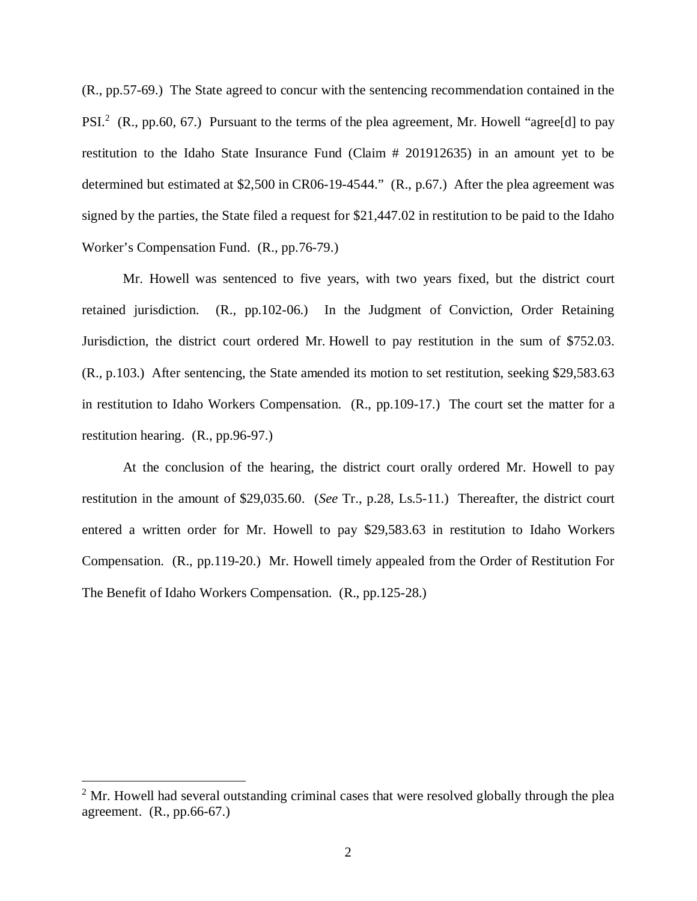(R., pp.57-69.) The State agreed to concur with the sentencing recommendation contained in the PSI.<sup>[2](#page-5-0)</sup> (R., pp.60, 67.) Pursuant to the terms of the plea agreement, Mr. Howell "agree[d] to pay restitution to the Idaho State Insurance Fund (Claim # 201912635) in an amount yet to be determined but estimated at \$2,500 in CR06-19-4544." (R., p.67.) After the plea agreement was signed by the parties, the State filed a request for \$21,447.02 in restitution to be paid to the Idaho Worker's Compensation Fund. (R., pp.76-79.)

Mr. Howell was sentenced to five years, with two years fixed, but the district court retained jurisdiction. (R., pp.102-06.) In the Judgment of Conviction, Order Retaining Jurisdiction, the district court ordered Mr. Howell to pay restitution in the sum of \$752.03. (R., p.103.) After sentencing, the State amended its motion to set restitution, seeking \$29,583.63 in restitution to Idaho Workers Compensation. (R., pp.109-17.) The court set the matter for a restitution hearing. (R., pp.96-97.)

At the conclusion of the hearing, the district court orally ordered Mr. Howell to pay restitution in the amount of \$29,035.60. (*See* Tr., p.28, Ls.5-11.) Thereafter, the district court entered a written order for Mr. Howell to pay \$29,583.63 in restitution to Idaho Workers Compensation. (R., pp.119-20.) Mr. Howell timely appealed from the Order of Restitution For The Benefit of Idaho Workers Compensation. (R., pp.125-28.)

<span id="page-5-0"></span> $2^2$  Mr. Howell had several outstanding criminal cases that were resolved globally through the plea agreement. (R., pp.66-67.)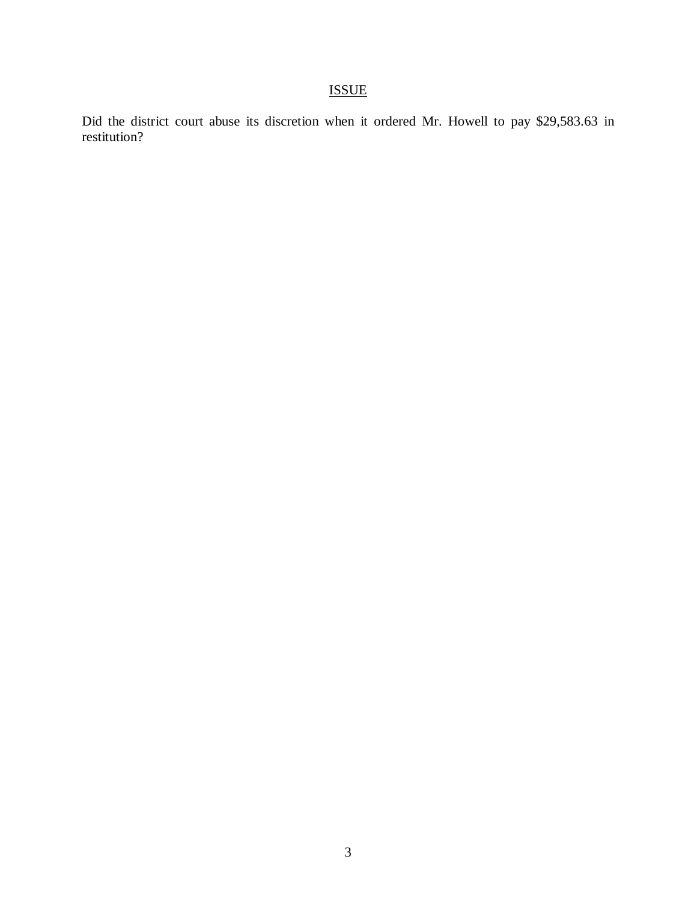# ISSUE

Did the district court abuse its discretion when it ordered Mr. Howell to pay \$29,583.63 in restitution?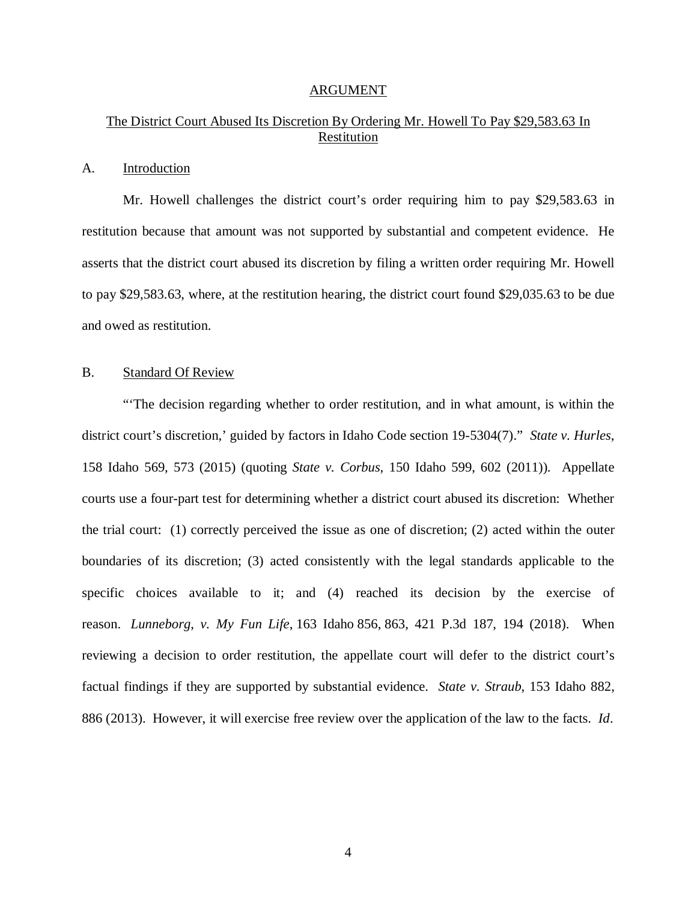#### ARGUMENT

# The District Court Abused Its Discretion By Ordering Mr. Howell To Pay \$29,583.63 In Restitution

#### A. Introduction

Mr. Howell challenges the district court's order requiring him to pay \$29,583.63 in restitution because that amount was not supported by substantial and competent evidence. He asserts that the district court abused its discretion by filing a written order requiring Mr. Howell to pay \$29,583.63, where, at the restitution hearing, the district court found \$29,035.63 to be due and owed as restitution.

#### B. Standard Of Review

"'The decision regarding whether to order restitution, and in what amount, is within the district court's discretion,' guided by factors in Idaho Code section 19-5304(7)." *State v. Hurles*, 158 Idaho 569, 573 (2015) (quoting *State v. Corbus*, 150 Idaho 599, 602 (2011)). Appellate courts use a four-part test for determining whether a district court abused its discretion: Whether the trial court: (1) correctly perceived the issue as one of discretion; (2) acted within the outer boundaries of its discretion; (3) acted consistently with the legal standards applicable to the specific choices available to it; and (4) reached its decision by the exercise of reason. *Lunneborg*, *v. My Fun Life*, 163 Idaho 856, 863, 421 P.3d 187, 194 (2018). When reviewing a decision to order restitution, the appellate court will defer to the district court's factual findings if they are supported by substantial evidence. *State v. Straub*, 153 Idaho 882, 886 (2013). However, it will exercise free review over the application of the law to the facts. *Id*.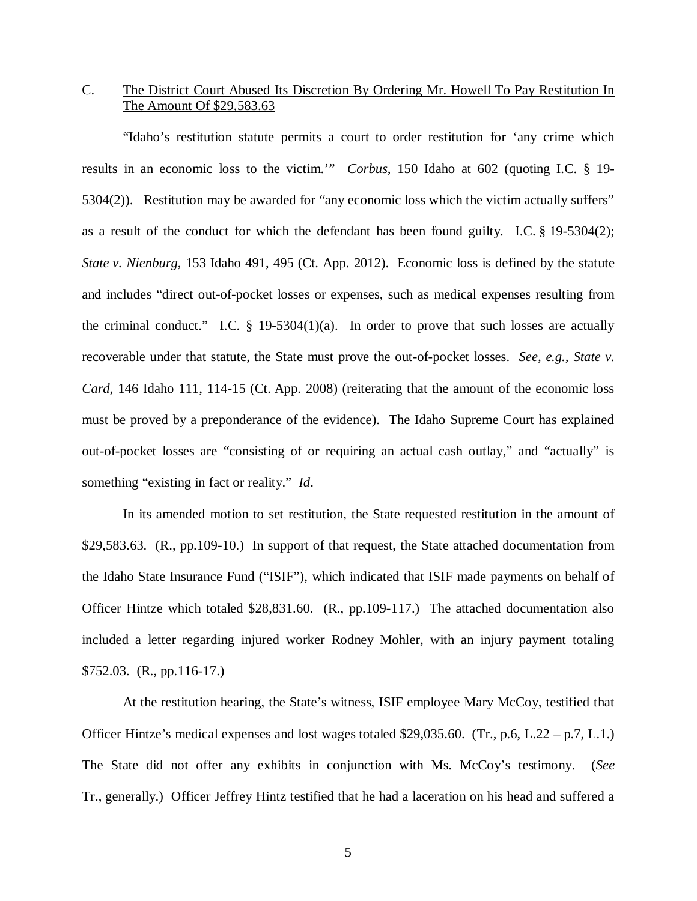## C. The District Court Abused Its Discretion By Ordering Mr. Howell To Pay Restitution In The Amount Of \$29,583.63

"Idaho's restitution statute permits a court to order restitution for 'any crime which results in an economic loss to the victim.'" *Corbus*, 150 Idaho at 602 (quoting I.C. § 19- 5304(2)). Restitution may be awarded for "any economic loss which the victim actually suffers" as a result of the conduct for which the defendant has been found guilty. I.C. § 19-5304(2); *State v. Nienburg*, 153 Idaho 491, 495 (Ct. App. 2012). Economic loss is defined by the statute and includes "direct out-of-pocket losses or expenses, such as medical expenses resulting from the criminal conduct." I.C.  $\S$  19-5304(1)(a). In order to prove that such losses are actually recoverable under that statute, the State must prove the out-of-pocket losses. *See, e.g., State v. Card*, 146 Idaho 111, 114-15 (Ct. App. 2008) (reiterating that the amount of the economic loss must be proved by a preponderance of the evidence). The Idaho Supreme Court has explained out-of-pocket losses are "consisting of or requiring an actual cash outlay," and "actually" is something "existing in fact or reality." *Id*.

In its amended motion to set restitution, the State requested restitution in the amount of \$29,583.63. (R., pp.109-10.) In support of that request, the State attached documentation from the Idaho State Insurance Fund ("ISIF"), which indicated that ISIF made payments on behalf of Officer Hintze which totaled \$28,831.60. (R., pp.109-117.) The attached documentation also included a letter regarding injured worker Rodney Mohler, with an injury payment totaling \$752.03. (R., pp.116-17.)

At the restitution hearing, the State's witness, ISIF employee Mary McCoy, testified that Officer Hintze's medical expenses and lost wages totaled \$29,035.60. (Tr., p.6, L.22 – p.7, L.1.) The State did not offer any exhibits in conjunction with Ms. McCoy's testimony. (*See* Tr., generally.) Officer Jeffrey Hintz testified that he had a laceration on his head and suffered a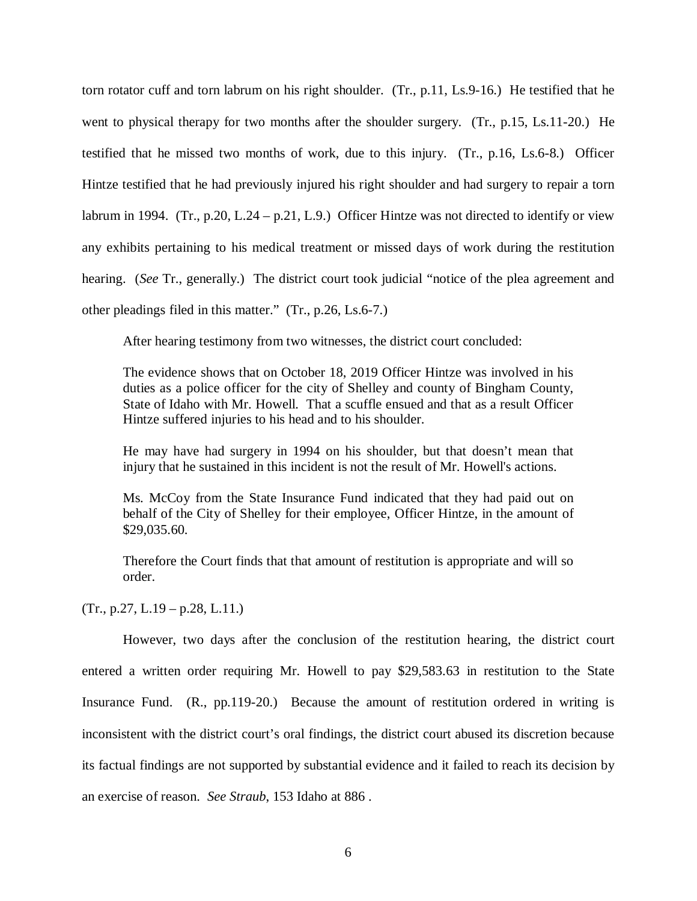torn rotator cuff and torn labrum on his right shoulder. (Tr., p.11, Ls.9-16.) He testified that he went to physical therapy for two months after the shoulder surgery. (Tr., p.15, Ls.11-20.) He testified that he missed two months of work, due to this injury. (Tr., p.16, Ls.6-8.) Officer Hintze testified that he had previously injured his right shoulder and had surgery to repair a torn labrum in 1994. (Tr., p.20, L.24 – p.21, L.9.) Officer Hintze was not directed to identify or view any exhibits pertaining to his medical treatment or missed days of work during the restitution hearing. (*See* Tr., generally.) The district court took judicial "notice of the plea agreement and other pleadings filed in this matter." (Tr., p.26, Ls.6-7.)

After hearing testimony from two witnesses, the district court concluded:

The evidence shows that on October 18, 2019 Officer Hintze was involved in his duties as a police officer for the city of Shelley and county of Bingham County, State of Idaho with Mr. Howell. That a scuffle ensued and that as a result Officer Hintze suffered injuries to his head and to his shoulder.

He may have had surgery in 1994 on his shoulder, but that doesn't mean that injury that he sustained in this incident is not the result of Mr. Howell's actions.

Ms. McCoy from the State Insurance Fund indicated that they had paid out on behalf of the City of Shelley for their employee, Officer Hintze, in the amount of \$29,035.60.

Therefore the Court finds that that amount of restitution is appropriate and will so order.

 $(Tr., p.27, L.19 - p.28, L.11.)$ 

However, two days after the conclusion of the restitution hearing, the district court entered a written order requiring Mr. Howell to pay \$29,583.63 in restitution to the State Insurance Fund. (R., pp.119-20.) Because the amount of restitution ordered in writing is inconsistent with the district court's oral findings, the district court abused its discretion because its factual findings are not supported by substantial evidence and it failed to reach its decision by an exercise of reason. *See Straub*, 153 Idaho at 886 .